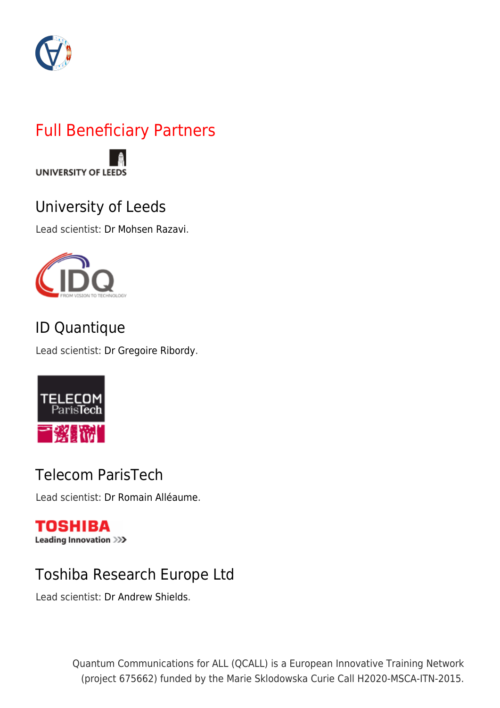

## Full Beneficiary Partners



## [University of Leeds](http://www.leeds.ac.uk/)

Lead scientist: [Dr Mohsen Razavi.](http://www.qcall-itn.eu/lead-scientists/#dr-mohsen-razavi)



## [ID Quantique](http://www.idquantique.com/)

Lead scientist: [Dr Gregoire Ribordy.](http://www.qcall-itn.eu/lead-scientists/#dr-gregoire-ribordy)



## [Telecom ParisTech](http://www.telecom-paristech.fr/eng/)

Lead scientist: [Dr Romain Alléaume.](http://www.qcall-itn.eu/lead-scientists/#dr-romain-alleaume)

#### **TOSHIBA** Leading Innovation >>>

## [Toshiba Research Europe Ltd](http://www.toshiba.eu/eu/)

Lead scientist: [Dr Andrew Shields.](http://www.qcall-itn.eu/lead-scientists/#dr-andrew-shields)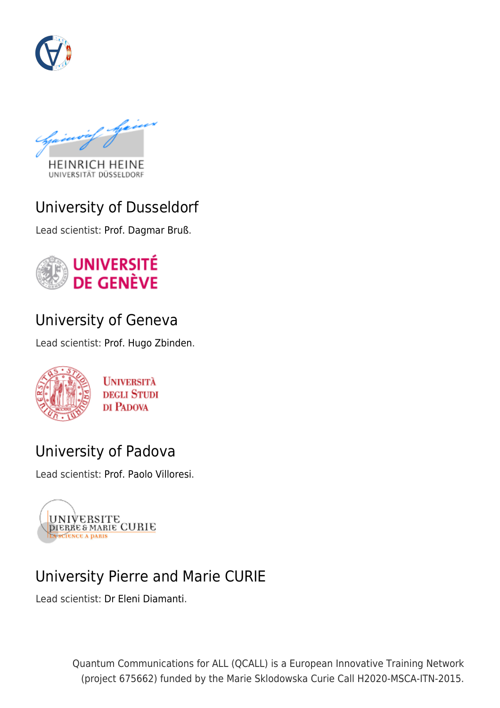

**HEINRICH HEINE** 

UNIVERSITÄT DÜSSELDORF

#### [University of Dusseldorf](https://www.uni-duesseldorf.de/home/en/home.html)

Lead scientist: [Prof. Dagmar Bruß.](http://www.qcall-itn.eu/lead-scientists/#prof-dagmar-bruss)



## [University of Geneva](http://www.unige.ch/international/en/)

Lead scientist: [Prof. Hugo Zbinden.](http://www.qcall-itn.eu/lead-scientists/#prof-hugo-zbinden)



**UNIVERSITÀ DEGLI STUDI** DI PADOVA

#### [University of Padova](http://www.unipd.it/en/)

Lead scientist: [Prof. Paolo Villoresi.](http://www.qcall-itn.eu/lead-scientists/#prof-paolo-villoresi)



## [University Pierre and Marie CURIE](http://www.upmc.fr/en/)

Lead scientist: [Dr Eleni Diamanti](http://www.qcall-itn.eu/lead-scientists/#dr-eleni-diamanti).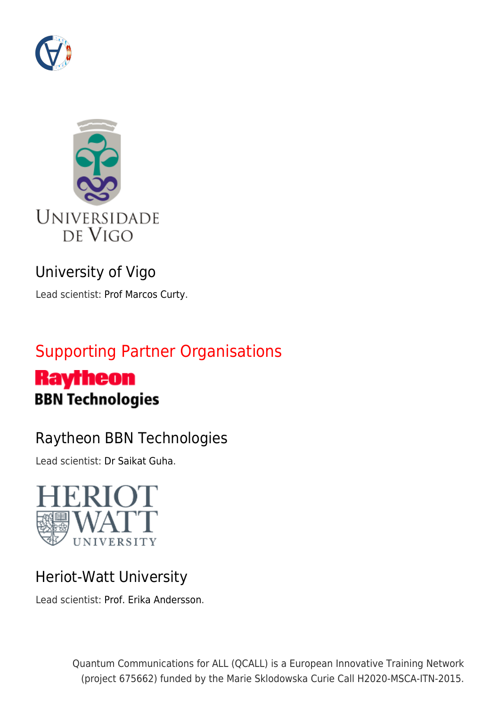



## [University of Vigo](https://www.uvigo.gal/uvigo_en/)

Lead scientist: [Prof Marcos Curty](http://www.qcall-itn.eu/lead-scientists/#prof-marcos-curty).

## Supporting Partner Organisations

# **Raytheon BBN Technologies**

## [Raytheon BBN Technologies](http://www.raytheon.com/ourcompany/bbn/)

Lead scientist: [Dr Saikat Guha](http://www.qcall-itn.eu/qcall-external-secondment-supervisors/#dr-saikat-guha).



## [Heriot-Watt University](https://www.hw.ac.uk/)

Lead scientist: [Prof. Erika Andersson.](http://www.qcall-itn.eu/qcall-external-secondment-supervisors/#prof-erika-andersson)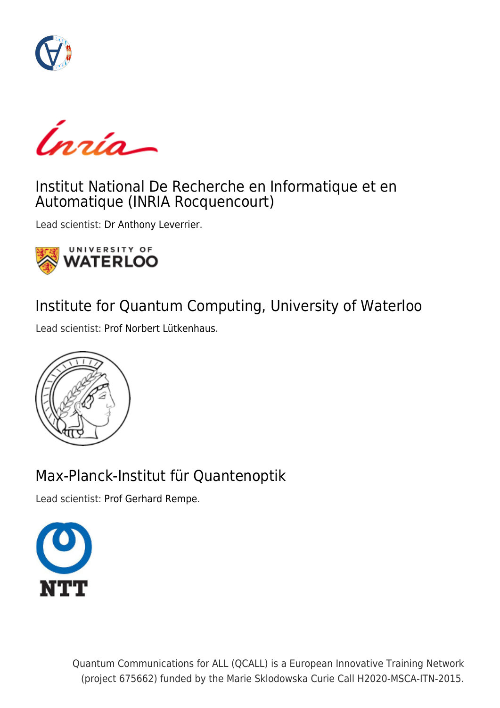

Ínría-

#### [Institut National De Recherche en Informatique et en](https://www.inria.fr/en/) [Automatique \(INRIA Rocquencourt\)](https://www.inria.fr/en/)

Lead scientist: [Dr Anthony Leverrier.](http://www.qcall-itn.eu/qcall-external-secondment-supervisors/#dr-anthony-leverrier)



#### [Institute for Quantum Computing, University of Waterloo](https://uwaterloo.ca/institute-for-quantum-computing/)

Lead scientist: [Prof Norbert Lütkenhaus.](http://www.qcall-itn.eu/qcall-external-secondment-supervisors/#prof-norbert-lutkenhaus)



## [Max-Planck-Institut für Quantenoptik](http://www.mpq.mpg.de/en/)

Lead scientist: [Prof Gerhard Rempe.](http://www.qcall-itn.eu/qcall-external-secondment-supervisors/#prof-gerhard-rempe)